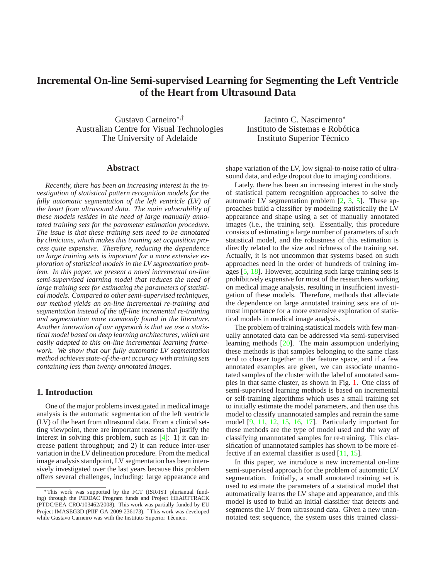# <span id="page-0-0"></span>**Incremental On-line Semi-supervised Learning for Segmenting the Left Ventricle of the Heart from Ultrasound Data**

Gustavo Carneiro<sup>∗</sup>,† Australian Centre for Visual Technologies The University of Adelaide

Jacinto C. Nascimento<sup>∗</sup> Instituto de Sistemas e Robótica Instituto Superior Técnico

#### **Abstract**

*Recently, there has been an increasing interest in the investigation of statistical pattern recognition models for the fully automatic segmentation of the left ventricle (LV) of the heart from ultrasound data. The main vulnerability of these models resides in the need of large manually annotated training sets for the parameter estimation procedure. The issue is that these training sets need to be annotated by clinicians, which makes this training set acquisition process quite expensive. Therefore, reducing the dependence on large training sets is important for a more extensive exploration of statistical models in the LV segmentation problem. In this paper, we present a novel incremental on-line semi-supervised learning model that reduces the need of large training sets for estimating the parameters of statistical models. Compared to other semi-supervised techniques, our method yields an on-line incremental re-training and segmentation instead of the off-line incremental re-training and segmentation more commonly found in the literature. Another innovation of our approach is that we use a statistical model based on deep learning architectures, which are easily adapted to this on-line incremental learning framework. We show that our fully automatic LV segmentation method achieves state-of-the-art accuracy with training sets containing less than twenty annotated images.*

#### **1. Introduction**

One of the major problems investigated in medical image analysis is the automatic segmentation of the left ventricle (LV) of the heart from ultrasound data. From a clinical setting viewpoint, there are important reasons that justify the interest in solving this problem, such as [\[4\]](#page-7-0): 1) it can increase patient throughput; and 2) it can reduce inter-user variation in the LV delineation procedure. From the medical image analysis standpoint, LV segmentation has been intensively investigated over the last years because this problem offers several challenges, including: large appearance and

shape variation of the LV, low signal-to-noise ratio of ultrasound data, and edge dropout due to imaging conditions.

Lately, there has been an increasing interest in the study of statistical pattern recognition approaches to solve the automatic LV segmentation problem [\[2,](#page-7-1) [3,](#page-7-2) [5\]](#page-7-3). These approaches build a classifier by modeling statistically the LV appearance and shape using a set of manually annotated images (i.e., the training set). Essentially, this procedure consists of estimating a large number of parameters of such statistical model, and the robustness of this estimation is directly related to the size and richness of the training set. Actually, it is not uncommon that systems based on such approaches need in the order of hundreds of training images [\[5,](#page-7-3) [18\]](#page-7-4). However, acquiring such large training sets is prohibitively expensive for most of the researchers working on medical image analysis, resulting in insufficient investigation of these models. Therefore, methods that alleviate the dependence on large annotated training sets are of utmost importance for a more extensive exploration of statistical models in medical image analysis.

The problem of training statistical models with few manually annotated data can be addressed via semi-supervised learning methods [\[20\]](#page-7-5). The main assumption underlying these methods is that samples belonging to the same class tend to cluster together in the feature space, and if a few annotated examples are given, we can associate unannotated samples of the cluster with the label of annotated samples in that same cluster, as shown in Fig. [1.](#page-1-0) One class of semi-supervised learning methods is based on incremental or self-training algorithms which uses a small training set to initially estimate the model parameters, and then use this model to classify unannotated samples and retrain the same model [\[9,](#page-7-6) [11,](#page-7-7) [12,](#page-7-8) [15,](#page-7-9) [16,](#page-7-10) [17\]](#page-7-11). Particularly important for these methods are the type of model used and the way of classifying unannotated samples for re-training. This classification of unannotated samples has shown to be more effective if an external classifier is used [\[11,](#page-7-7) [15\]](#page-7-9).

In this paper, we introduce a new incremental on-line semi-supervised approach for the problem of automatic LV segmentation. Initially, a small annotated training set is used to estimate the parameters of a statistical model that automatically learns the LV shape and appearance, and this model is used to build an initial classifier that detects and segments the LV from ultrasound data. Given a new unannotated test sequence, the system uses this trained classi-

<sup>∗</sup>This work was supported by the FCT (ISR/IST plurianual funding) through the PIDDAC Program funds and Project HEARTTRACK (PTDC/EEA-CRO/103462/2008). This work was partially funded by EU Project IMASEG3D (PIIF-GA-2009-236173). †This work was developed while Gustavo Carneiro was with the Instituto Superior Técnico.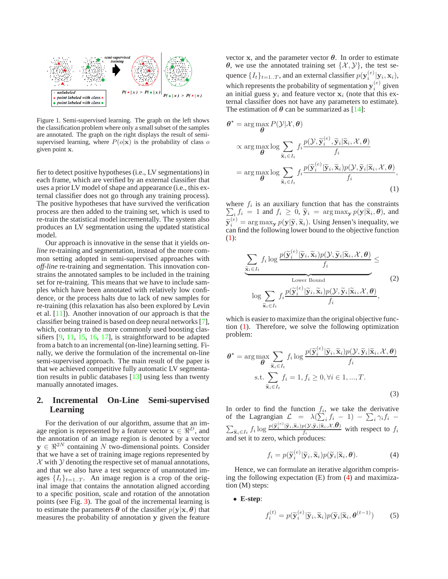<span id="page-1-3"></span>

<span id="page-1-0"></span>Figure 1. Semi-supervised learning. The graph on the left shows the classification problem where only a small subset of the samples are annotated. The graph on the right displays the result of semisupervised learning, where  $P(o|\mathbf{x})$  is the probability of class o given point x.

fier to detect positive hypotheses (i.e., LV segmentations) in each frame, which are verified by an external classifier that uses a prior LV model of shape and appearance (i.e., this external classifier does not go through any training process). The positive hypotheses that have survived the verification process are then added to the training set, which is used to re-train the statistical model incrementally. The system also produces an LV segmentation using the updated statistical model.

Our approach is innovative in the sense that it yields *online* re-training and segmentation, instead of the more common setting adopted in semi-supervised approaches with *off-line* re-training and segmentation. This innovation constrains the annotated samples to be included in the training set for re-training. This means that we have to include samples which have been annotated with relatively low confidence, or the process halts due to lack of new samples for re-training (this relaxation has also been explored by Levin et al. [\[11\]](#page-7-7)). Another innovation of our approach is that the classifier being trained is based on deep neural networks [\[7\]](#page-7-12), which, contrary to the more commonly used boosting classifiers [\[9,](#page-7-6) [11,](#page-7-7) [15,](#page-7-9) [16,](#page-7-10) [17\]](#page-7-11), is straightforward to be adapted from a batch to an incremental (on-line) learning setting. Finally, we derive the formulation of the incremental on-line semi-supervised approach. The main result of the paper is that we achieved competitive fully automatic LV segmentation results in public databases [\[13\]](#page-7-13) using less than twenty manually annotated images.

# **2. Incremental On-Line Semi-supervised Learning**

For the derivation of our algorithm, assume that an image region is represented by a feature vector  $\mathbf{x} \in \mathbb{R}^D$ , and the annotation of an image region is denoted by a vector  $y \in \mathbb{R}^{2N}$  containing N two-dimensional points. Consider that we have a set of training image regions represented by  $X$  with  $Y$  denoting the respective set of manual annotations, and that we also have a test sequence of unannotated images  $\{I_t\}_{t=1..T}$ . An image region is a crop of the original image that contains the annotation aligned according to a specific position, scale and rotation of the annotation points (see Fig. [3\)](#page-3-0). The goal of the incremental learning is to estimate the parameters  $\theta$  of the classifier  $p(\mathbf{y}|\mathbf{x}, \theta)$  that measures the probability of annotation y given the feature

vector x, and the parameter vector  $\theta$ . In order to estimate  $\theta$ , we use the annotated training set  $\{\mathcal{X}, \mathcal{Y}\}\)$ , the test sequence  $\{I_t\}_{t=1..T}$ , and an external classifier  $p(\mathbf{y}_i^{(e)}|\mathbf{y}_i,\mathbf{x}_i)$ , which represents the probability of segmentation  $y_i^{(e)}$  given an initial guess  $y_i$  and feature vector  $x_i$  (note that this external classifier does not have any parameters to estimate). The estimation of  $\theta$  can be summarized as [\[14\]](#page-7-14):

<span id="page-1-1"></span>
$$
\theta^* = \arg \max_{\theta} P(\mathcal{Y} | \mathcal{X}, \theta)
$$
  
 
$$
\propto \arg \max_{\theta} \log \sum_{\tilde{\mathbf{x}}_i \in I_t} f_i \frac{p(\mathcal{Y}, \tilde{\mathbf{y}}_i^{(e)}, \tilde{\mathbf{y}}_i | \tilde{\mathbf{x}}_i, \mathcal{X}, \theta)}{f_i}
$$
  
= 
$$
\arg \max_{\theta} \log \sum_{\tilde{\mathbf{x}}_i \in I_t} f_i \frac{p(\tilde{\mathbf{y}}_i^{(e)} | \tilde{\mathbf{y}}_i, \tilde{\mathbf{x}}_i) p(\mathcal{Y}, \tilde{\mathbf{y}}_i | \tilde{\mathbf{x}}_i, \mathcal{X}, \theta)}{f_i},
$$
(1)

where  $f_i$ <br> $\sum f_i =$ is an auxiliary function that has the constraints  $i,j_i = 1$  and  $f_i \geq 0$ ,  $\widetilde{\mathbf{y}}_i = \arg \max_{\mathbf{y}} p(\mathbf{y} | \widetilde{\mathbf{x}}_i, \boldsymbol{\theta})$ , and  $\widetilde{\mathbf{y}}_i^{(e)} = \arg \max_{\mathbf{y}} p(\mathbf{y} | \widetilde{\mathbf{y}}, \widetilde{\mathbf{x}}_i)$ . Using Jensen's inequality, we can find the following lower bound to the objective function [\(1\)](#page-1-1):

$$
\underbrace{\sum_{\widetilde{\mathbf{x}}_i \in I_t} f_i \log \frac{p(\widetilde{\mathbf{y}}_i^{(e)} | \widetilde{\mathbf{y}}_i, \widetilde{\mathbf{x}}_i) p(\mathcal{Y}, \widetilde{\mathbf{y}}_i | \widetilde{\mathbf{x}}_i, \mathcal{X}, \boldsymbol{\theta})}_{f_i}}_{\text{Lower Bound}}_{\text{log} \sum_{\widetilde{\mathbf{x}}_i \in I_t} f_i \frac{p(\widetilde{\mathbf{y}}_i^{(e)} | \widetilde{\mathbf{y}}_i, \widetilde{\mathbf{x}}_i) p(\mathcal{Y}, \widetilde{\mathbf{y}}_i | \widetilde{\mathbf{x}}_i, \mathcal{X}, \boldsymbol{\theta})}{f_i},
$$
\n(2)

which is easier to maximize than the original objective function [\(1\)](#page-1-1). Therefore, we solve the following optimization problem:

$$
\theta^* = \arg \max_{\theta} \sum_{\widetilde{\mathbf{x}}_i \in I_t} f_i \log \frac{p(\widetilde{\mathbf{y}}_i^{(e)} | \widetilde{\mathbf{y}}_i, \widetilde{\mathbf{x}}_i) p(\mathcal{Y}, \widetilde{\mathbf{y}}_i | \widetilde{\mathbf{x}}_i, \mathcal{X}, \theta)}{f_i}
$$
  
s.t. 
$$
\sum_{\widetilde{\mathbf{x}}_i \in I_t} f_i = 1, f_i \ge 0, \forall i \in 1, ..., T.
$$
 (3)

In order to find the function  $f_i$ , we take the derivative of the Lagrangian  $\mathcal{L} = \lambda (\sum_{i}^{K} f_i - 1) - \sum_{i} \gamma_i f_i \sum_{\widetilde{\mathbf{x}}_i \in I_t} f_i \log \frac{p(\widetilde{\mathbf{y}}_i^{(e)}|\widetilde{\mathbf{y}}_i,\widetilde{\mathbf{x}}_i)p(\mathcal{Y},\widetilde{\mathbf{y}}_i|\widetilde{\mathbf{x}}_i,\mathcal{X},\boldsymbol{\theta})}{f_i}$  $\frac{\partial \left( \mathbf{y}, \mathbf{y}_i | \mathbf{x}_i, \alpha, \mathbf{0} \right)}{f_i}$  with respect to  $f_i$ and set it to zero, which produces:

$$
f_i = p(\widetilde{\mathbf{y}}_i^{(e)} | \widetilde{\mathbf{y}}_i, \widetilde{\mathbf{x}}_i) p(\widetilde{\mathbf{y}}_i | \widetilde{\mathbf{x}}_i, \boldsymbol{\theta}). \tag{4}
$$

<span id="page-1-2"></span>Hence, we can formulate an iterative algorithm comprising the following expectation (E) from [\(4\)](#page-1-2) and maximization (M) steps:

#### • **E-step**:

$$
f_i^{(t)} = p(\widetilde{\mathbf{y}}_i^{(e)} | \widetilde{\mathbf{y}}_i, \widetilde{\mathbf{x}}_i) p(\widetilde{\mathbf{y}}_i | \widetilde{\mathbf{x}}_i, \boldsymbol{\theta}^{(t-1)})
$$
(5)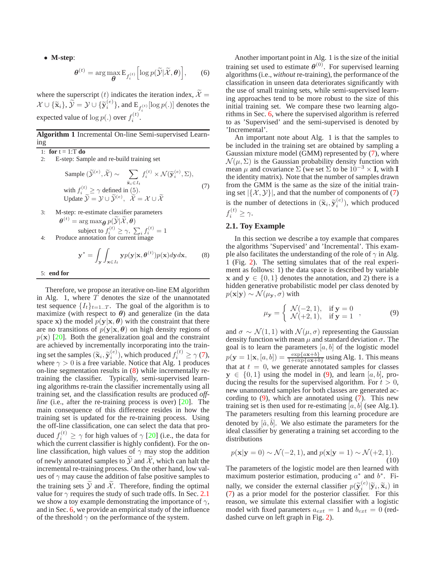<span id="page-2-4"></span>• **M-step**:

$$
\boldsymbol{\theta}^{(t)} = \arg \max_{\boldsymbol{\theta}} \mathbf{E}_{f_i^{(t)}} \Big[ \log p(\widetilde{\mathcal{Y}} | \widetilde{\mathcal{X}}, \boldsymbol{\theta}) \Big], \qquad (6)
$$

where the superscript (t) indicates the iteration index,  $\widetilde{\mathcal{X}} =$  $\mathcal{X} \cup \{\widetilde{\mathbf{x}}_i\}, \widetilde{\mathcal{Y}} = \mathcal{Y} \cup \{\widetilde{\mathbf{y}}_i^{(e)}\},$  and  $\text{E}_{f_i^{(t)}}[\log p(.)]$  denotes the expected value of  $\log p(.)$  over  $f_i^{(t)}$ .

### **Algorithm 1** Incremental On-line Semi-supervised Learning

1: **for** t = 1:T **do**

<span id="page-2-0"></span>2: E-step: Sample and re-build training set

Sample 
$$
(\widetilde{\mathcal{Y}}^{(e)}, \widetilde{\mathcal{X}}) \sim \sum_{\widetilde{\mathbf{x}}_i \in I_t} f_i^{(t)} \times \mathcal{N}(\widetilde{\mathbf{y}}_i^{(e)}, \Sigma),
$$
  
with  $f_i^{(t)} \ge \gamma$  defined in (5).  
Update  $\widetilde{\mathcal{Y}} = \mathcal{Y} \cup \widetilde{\mathcal{Y}}^{(e)}, \widetilde{\mathcal{X}} = \mathcal{X} \cup \widetilde{\mathcal{X}}$  (7)

3: M-step: re-estimate classifier parameters  $\boldsymbol{\theta}^{(t)} = \arg \max_{\boldsymbol{\theta}} p(\widetilde{\mathcal{Y}} | \widetilde{\mathcal{X}}, \boldsymbol{\theta})$ subject to  $f_i^{(t)} \geq \gamma$ ,  $\sum_i f_i^{(t)} = 1$ 4: Produce annotation for current image

$$
\mathbf{y}^* = \int_{\mathbf{y}} \int_{\mathbf{x} \in I_t} \mathbf{y} p(\mathbf{y} | \mathbf{x}, \boldsymbol{\theta}^{(t)}) p(\mathbf{x}) d\mathbf{y} d\mathbf{x},
$$
 (8)

<span id="page-2-1"></span>5: **end for**

Therefore, we propose an iterative on-line EM algorithm in Alg. 1, where  $T$  denotes the size of the unannotated test sequence  $\{I_t\}_{t=1..T}$ . The goal of the algorithm is to maximize (with respect to  $\theta$ ) and generalize (in the data space x) the model  $p(y|x, \theta)$  with the constraint that there are no transitions of  $p(y|x, \theta)$  on high density regions of  $p(x)$  [\[20\]](#page-7-5). Both the generalization goal and the constraint are achieved by incrementally incorporating into the training set the samples  $(\widetilde{\mathbf{x}}_i, \widetilde{\mathbf{y}}_i^{(e)})$ , which produced  $f_i^{(t)} \ge \gamma(7)$  $f_i^{(t)} \ge \gamma(7)$ , where  $\gamma > 0$  is a free variable. Notice that Alg. 1 produces on-line segmentation results in [\(8\)](#page-2-1) while incrementally retraining the classifier. Typically, semi-supervised learning algorithms re-train the classifier incrementally using all training set, and the classification results are produced *offline* (i.e., after the re-training process is over) [\[20\]](#page-7-5). The main consequence of this difference resides in how the training set is updated for the re-training process. Using the off-line classification, one can select the data that produced  $f_i^{(t)} \ge \gamma$  for high values of  $\gamma$  [\[20\]](#page-7-5) (i.e., the data for which the current classifier is highly confident). For the online classification, high values of  $\gamma$  may stop the addition of newly annotated samples to  $Y$  and  $X$ , which can halt the incremental re-training process. On the other hand, low values of  $\gamma$  may cause the addition of false positive samples to the training sets  $Y$  and  $X$ . Therefore, finding the optimal value for  $\gamma$  requires the study of such trade offs. In Sec. [2.1](#page-2-2) we show a toy example demonstrating the importance of  $\gamma$ , and in Sec. [6,](#page-5-0) we provide an empirical study of the influence of the threshold  $\gamma$  on the performance of the system.

Another important point in Alg. 1 is the size of the initial training set used to estimate  $\boldsymbol{\theta}^{(0)}$ . For supervised learning algorithms (i.e., *without* re-training), the performance of the classification in unseen data deteriorates significantly with the use of small training sets, while semi-supervised learning approaches tend to be more robust to the size of this initial training set. We compare these two learning algorithms in Sec. [6,](#page-5-0) where the supervised algorithm is referred to as 'Supervised' and the semi-supervised is denoted by 'Incremental'.

An important note about Alg. 1 is that the samples to be included in the training set are obtained by sampling a Gaussian mixture model (GMM) represented by [\(7\)](#page-2-0), where  $\mathcal{N}(\mu, \Sigma)$  is the Gaussian probability density function with mean  $\mu$  and covariance  $\Sigma$  (we set  $\Sigma$  to be  $10^{-3} \times I$ , with I the identity matrix). Note that the number of samples drawn from the GMM is the same as the size of the initial training set  $|\{\mathcal{X}, \mathcal{Y}\}|$ , and that the number of components of [\(7\)](#page-2-0) is the number of detections in  $(\widetilde{\mathbf{x}}_i, \widetilde{\mathbf{y}}_i^{(e)})$ , which produced  $f_i^{(t)} \geq \gamma.$ 

### <span id="page-2-2"></span>**2.1. Toy Example**

In this section we describe a toy example that compares the algorithms 'Supervised' and 'Incremental'. This example also facilitates the understanding of the role of  $\gamma$  in Alg. 1 (Fig. [2\)](#page-3-1). The setting simulates that of the real experiment as follows: 1) the data space is described by variable x and  $y \in \{0, 1\}$  denotes the annotation, and 2) there is a hidden generative probabilistic model per class denoted by  $p(\mathbf{x}|\mathbf{y}) \sim \mathcal{N}(\mu_{\mathbf{v}}, \sigma)$  with

$$
\mu_{\mathbf{y}} = \begin{cases} \mathcal{N}(-2,1), & \text{if } \mathbf{y} = 0 \\ \mathcal{N}(+2,1), & \text{if } \mathbf{y} = 1 \end{cases}, \tag{9}
$$

<span id="page-2-3"></span>and  $\sigma \sim \mathcal{N}(1, 1)$  with  $\mathcal{N}(\mu, \sigma)$  representing the Gaussian density function with mean  $\mu$  and standard deviation  $\sigma$ . The goal is to learn the parameters  $[a, b]$  of the logistic model  $p(\mathbf{y} = 1 | \mathbf{x}, [a, b]) = \frac{\exp\{a\mathbf{x}+b\}}{1+\exp\{a\mathbf{x}+b\}}$  using Alg. 1. This means that at  $t = 0$ , we generate annotated samples for classes  $y \in \{0, 1\}$  using the model in [\(9\)](#page-2-3), and learn [a, b], producing the results for the supervised algorithm. For  $t > 0$ , new unannotated samples for both classes are generated according to  $(9)$ , which are annotated using  $(7)$ . This new training set is then used for re-estimating  $[a, b]$  (see Alg.1). The parameters resulting from this learning procedure are denoted by  $[\hat{a}, \hat{b}]$ . We also estimate the parameters for the ideal classifier by generating a training set according to the distributions

$$
p(\mathbf{x}|\mathbf{y}=0) \sim \mathcal{N}(-2, 1), \text{ and } p(\mathbf{x}|\mathbf{y}=1) \sim \mathcal{N}(+2, 1).
$$
\n(10)

The parameters of the logistic model are then learned with maximum posterior estimation, producing  $a^*$  and  $b^*$ . Finally, we consider the external classifier  $p(\tilde{y}_i^{(e)} | \tilde{y}_i, \tilde{x}_i)$  in [\(7\)](#page-2-0) as a prior model for the posterior classifier. For this reason, we simulate this external classifier with a logistic model with fixed parameters  $a_{ext} = 1$  and  $b_{ext} = 0$  (reddashed curve on left graph in Fig. [2\)](#page-3-1).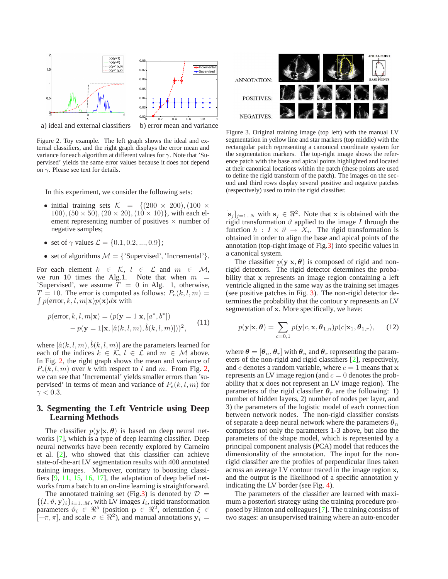<span id="page-3-2"></span>

<span id="page-3-1"></span>Figure 2. Toy example. The left graph shows the ideal and external classifiers, and the right graph displays the error mean and variance for each algorithm at different values for  $\gamma$ . Note that 'Su-

on  $\gamma$ . Please see text for details.

In this experiment, we consider the following sets:

pervised' yields the same error values because it does not depend

- initial training sets  $\mathcal{K} = \{ (200 \times 200), (100 \times 200) \}$ 100),  $(50 \times 50)$ ,  $(20 \times 20)$ ,  $(10 \times 10)$ , with each element representing number of positives  $\times$  number of negative samples;
- set of  $\gamma$  values  $\mathcal{L} = \{0.1, 0.2, ..., 0.9\}$ ;
- set of algorithms  $M = \{$ 'Supervised', 'Incremental' $\}.$

For each element  $k \in \mathcal{K}$ ,  $l \in \mathcal{L}$  and  $m \in \mathcal{M}$ , we run 10 times the Alg.1. Note that when  $m =$ 'Supervised', we assume  $\overline{T} = 0$  in Alg. 1, otherwise,  $\int p(\text{error}, k, l, m|\mathbf{x})p(\mathbf{x})d\mathbf{x}$  with  $T = 10$ . The error is computed as follows:  $P_e(k, l, m) =$ 

$$
p(\text{error}, k, l, m | \mathbf{x}) = (p(\mathbf{y} = 1 | \mathbf{x}, [a^*, b^*]) - p(\mathbf{y} = 1 | \mathbf{x}, [\hat{a}(k, l, m), \hat{b}(k, l, m)]))^2, \tag{11}
$$

where  $[\hat{a}(k, l, m), \hat{b}(k, l, m)]$  are the parameters learned for each of the indices  $k \in \mathcal{K}$ ,  $l \in \mathcal{L}$  and  $m \in \mathcal{M}$  above. In Fig. [2,](#page-3-1) the right graph shows the mean and variance of  $P_e(k, l, m)$  over k with respect to l and m. From Fig. [2,](#page-3-1) we can see that 'Incremental' yields smaller errors than 'supervised' in terms of mean and variance of  $P_e(k, l, m)$  for  $\gamma < 0.3$ .

# **3. Segmenting the Left Ventricle using Deep Learning Methods**

The classifier  $p(y|x, \theta)$  is based on deep neural networks [\[7\]](#page-7-12), which is a type of deep learning classifier. Deep neural networks have been recently explored by Carneiro et al. [\[2\]](#page-7-1), who showed that this classifier can achieve state-of-the-art LV segmentation results with 400 annotated training images. Moreover, contrary to boosting classifiers  $[9, 11, 15, 16, 17]$  $[9, 11, 15, 16, 17]$  $[9, 11, 15, 16, 17]$  $[9, 11, 15, 16, 17]$  $[9, 11, 15, 16, 17]$  $[9, 11, 15, 16, 17]$  $[9, 11, 15, 16, 17]$  $[9, 11, 15, 16, 17]$ , the adaptation of deep belief networks from a batch to an on-line learning is straightforward.

The annotated training set (Fig[.3\)](#page-3-0) is denoted by  $\mathcal{D}$  =  $\{(I, \vartheta, \mathbf{y})_i\}_{i=1..M}$ , with LV images  $I_i$ , rigid transformation parameters  $\vartheta_i \in \mathbb{R}^5$  (position  $\mathbf{p} \in \mathbb{R}^2$ , orientation  $\xi \in$  $[-\pi, \pi]$ , and scale  $\sigma \in \mathbb{R}^2$ ), and manual annotations  $y_i =$ 



<span id="page-3-0"></span>Figure 3. Original training image (top left) with the manual LV segmentation in yellow line and star markers (top middle) with the rectangular patch representing a canonical coordinate system for the segmentation markers. The top-right image shows the reference patch with the base and apical points highlighted and located at their canonical locations within the patch (these points are used to define the rigid transform of the patch). The images on the second and third rows display several positive and negative patches (respectively) used to train the rigid classifier.

 $[s_j]_{j=1..N}$  with  $s_j \in \mathbb{R}^2$ . Note that x is obtained with the rigid transformation  $\vartheta$  applied to the image I through the function  $h: I \times \vartheta \to X_i$ . The rigid transformation is obtained in order to align the base and apical points of the annotation (top-right image of Fig[.3\)](#page-3-0) into specific values in a canonical system.

The classifier  $p(y|x, \theta)$  is composed of rigid and nonrigid detectors. The rigid detector determines the probability that x represents an image region containing a left ventricle aligned in the same way as the training set images (see positive patches in Fig. [3\)](#page-3-0). The non-rigid detector determines the probability that the contour y represents an LV segmentation of x. More specifically, we have:

$$
p(\mathbf{y}|\mathbf{x}, \boldsymbol{\theta}) = \sum_{c=0,1} p(\mathbf{y}|c, \mathbf{x}, \boldsymbol{\theta}_{1,n}) p(c|\mathbf{x}_1, \boldsymbol{\theta}_{1,r}),
$$
 (12)

where  $\theta = [\theta_n, \theta_r]$  with  $\theta_n$  and  $\theta_r$  representing the parameters of the non-rigid and rigid classifiers [\[2\]](#page-7-1), respectively, and c denotes a random variable, where  $c = 1$  means that x represents an LV image region (and  $c = 0$  denotes the probability that x does not represent an LV image region). The parameters of the rigid classifier  $\theta_r$  are the following: 1) number of hidden layers, 2) number of nodes per layer, and 3) the parameters of the logistic model of each connection between network nodes. The non-rigid classifier consists of separate a deep neural network where the parameters  $\theta_n$ comprises not only the parameters 1-3 above, but also the parameters of the shape model, which is represented by a principal component analysis (PCA) model that reduces the dimensionality of the annotation. The input for the nonrigid classifier are the profiles of perpendicular lines taken across an average LV contour traced in the image region x, and the output is the likelihood of a specific annotation y indicating the LV border (see Fig. [4\)](#page-4-0).

The parameters of the classifier are learned with maximum a posteriori strategy using the training procedure proposed by Hinton and colleagues [\[7\]](#page-7-12). The training consists of two stages: an unsupervised training where an auto-encoder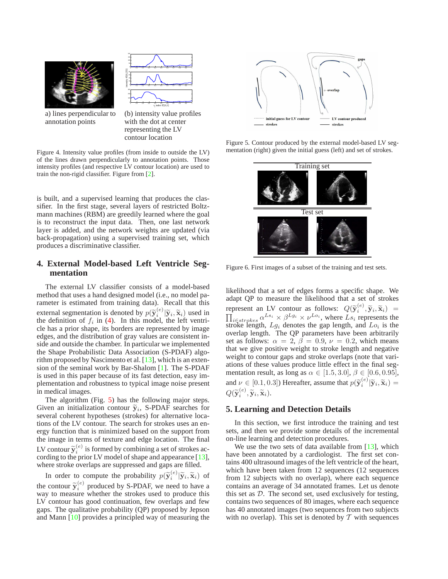<span id="page-4-4"></span>



a) lines perpendicular to (b) intensity value profiles annotation points with the dot at center

with the dot at center representing the LV contour location

<span id="page-4-0"></span>Figure 4. Intensity value profiles (from inside to outside the LV) of the lines drawn perpendicularly to annotation points. Those intensity profiles (and respective LV contour location) are used to train the non-rigid classifier. Figure from [\[2\]](#page-7-1).

is built, and a supervised learning that produces the classifier. In the first stage, several layers of restricted Boltzmann machines (RBM) are greedily learned where the goal is to reconstruct the input data. Then, one last network layer is added, and the network weights are updated (via back-propagation) using a supervised training set, which produces a discriminative classifier.

# **4. External Model-based Left Ventricle Segmentation**

The external LV classifier consists of a model-based method that uses a hand designed model (i.e., no model parameter is estimated from training data). Recall that this external segmentation is denoted by  $p(\widetilde{\mathbf{y}}_i^{(e)} | \widetilde{\mathbf{y}}_i, \widetilde{\mathbf{x}}_i)$  used in the definition of f in (4). In this model, the left ventrithe definition of  $f_i$  in [\(4\)](#page-1-2). In this model, the left ventricle has a prior shape, its borders are represented by image edges, and the distribution of gray values are consistent inside and outside the chamber. In particular we implemented the Shape Probabilistic Data Association (S-PDAF) algorithm proposed by Nascimento et al. [\[13\]](#page-7-13), which is an extension of the seminal work by Bar-Shalom [\[1\]](#page-7-15). The S-PDAF is used in this paper because of its fast detection, easy implementation and robustness to typical image noise present in medical images.

The algorithm (Fig. [5\)](#page-4-1) has the following major steps. Given an initialization contour  $\tilde{y}_i$ , S-PDAF searches for<br>sexual seberant hypotheses (strakes) for elternative loss several coherent hypotheses (strokes) for alternative locations of the LV contour. The search for strokes uses an energy function that is minimized based on the support from the image in terms of texture and edge location. The final LV contour  $\widetilde{y}_i^{(e)}$  is formed by combining a set of strokes ac-<br>cording to the prior LV model of shape and appearance [12] cording to the prior LV model of shape and appearance [\[13\]](#page-7-13), where stroke overlaps are suppressed and gaps are filled.

In order to compute the probability  $p(\tilde{\mathbf{y}}_i^{(e)} | \tilde{\mathbf{y}}_i, \tilde{\mathbf{x}}_i)$  of the contour  $\widetilde{\mathbf{y}}_i^{(e)}$  produced by S-PDAF, we need to have a way to measure whether the strakes used to produce this way to measure whether the strokes used to produce this LV contour has good continuation, few overlaps and few gaps. The qualitative probability (QP) proposed by Jepson and Mann [\[10\]](#page-7-16) provides a principled way of measuring the



<span id="page-4-1"></span>Figure 5. Contour produced by the external model-based LV segmentation (right) given the initial guess (left) and set of strokes.



<span id="page-4-2"></span>Figure 6. First images of a subset of the training and test sets.

likelihood that a set of edges forms a specific shape. We adapt QP to measure the likelihood that a set of strokes represent an LV contour as follows:  $Q(\tilde{\mathbf{y}}_i^{(e)}, \tilde{\mathbf{y}}_i, \tilde{\mathbf{x}}_i) = \prod_{i \in \text{strokes}} \alpha^{Ls_i} \times \beta^{Lg_i} \times \nu^{Lo_i}$ , where  $Ls_i$  represents the stroke length,  $Lg_i$  denotes the gap length, and  $Lo_i$  is the overlap length. The QP parameters have been arbitrarily set as follows:  $\alpha = 2$ ,  $\beta = 0.9$ ,  $\nu = 0.2$ , which means that we give positive weight to stroke length and negative weight to contour gaps and stroke overlaps (note that variations of these values produce little effect in the final segmentation result, as long as  $\alpha \in [1.5, 3.0]$ ,  $\beta \in [0.6, 0.95]$ , and  $\nu \in [0.1, 0.3]$ ) Hereafter, assume that  $p(\tilde{\mathbf{y}}_i^{(e)} | \tilde{\mathbf{y}}_i, \tilde{\mathbf{x}}_i) =$  $Q(\widetilde{\mathbf{y}}_i^{(e)}, \widetilde{\mathbf{y}}_i, \widetilde{\mathbf{x}}_i).$ 

# <span id="page-4-3"></span>**5. Learning and Detection Details**

In this section, we first introduce the training and test sets, and then we provide some details of the incremental on-line learning and detection procedures.

We use the two sets of data available from  $[13]$ , which have been annotated by a cardiologist. The first set contains 400 ultrasound images of the left ventricle of the heart, which have been taken from 12 sequences (12 sequences from 12 subjects with no overlap), where each sequence contains an average of 34 annotated frames. Let us denote this set as D. The second set, used exclusively for testing, contains two sequences of 80 images, where each sequence has 40 annotated images (two sequences from two subjects with no overlap). This set is denoted by  $T$  with sequences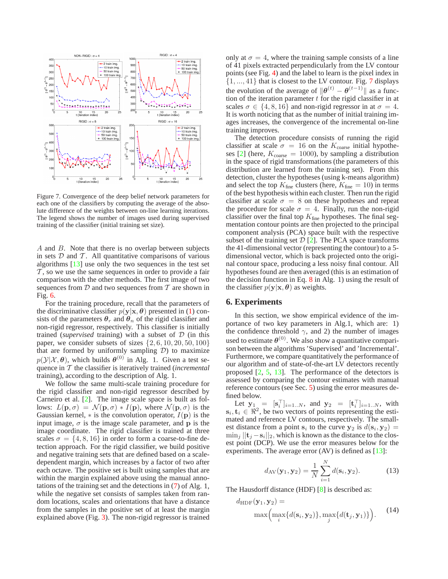<span id="page-5-3"></span>

<span id="page-5-1"></span>Figure 7. Convergence of the deep belief network parameters for each one of the classifiers by computing the average of the absolute difference of the weights between on-line learning iterations. The legend shows the number of images used during supervised training of the classifier (initial training set size).

A and B. Note that there is no overlap between subjects in sets  $D$  and  $T$ . All quantitative comparisons of various algorithms [\[13\]](#page-7-13) use only the two sequences in the test set  $\mathcal T$ , so we use the same sequences in order to provide a fair comparison with the other methods. The first image of two sequences from  $D$  and two sequences from  $T$  are shown in Fig. [6.](#page-4-2)

For the training procedure, recall that the parameters of the discriminative classifier  $p(y|x, \theta)$  presented in [\(1\)](#page-1-1) consists of the parameters  $\theta_r$  and  $\theta_n$  of the rigid classifier and non-rigid regressor, respectively. This classifier is initially trained (*supervised* training) with a subset of D (in this paper, we consider subsets of sizes  $\{2, 6, 10, 20, 50, 100\}$ that are formed by uniformly sampling  $D$ ) to maximize  $p(\mathcal{Y}|\mathcal{X}, \theta)$ , which builds  $\theta^{(0)}$  in Alg. 1. Given a test sequence in T the classifier is iteratively trained (*incremental* training), according to the description of Alg. 1.

We follow the same multi-scale training procedure for the rigid classifier and non-rigid regressor described by Carneiro et al. [\[2\]](#page-7-1). The image scale space is built as follows:  $L(\mathbf{p}, \sigma) = \mathcal{N}(\mathbf{p}, \sigma) * I(\mathbf{p})$ , where  $\mathcal{N}(\mathbf{p}, \sigma)$  is the Gaussian kernel,  $*$  is the convolution operator,  $I(\mathbf{p})$  is the input image,  $\sigma$  is the image scale parameter, and p is the image coordinate. The rigid classifier is trained at three scales  $\sigma = \{4, 8, 16\}$  in order to form a coarse-to-fine detection approach. For the rigid classifier, we build positive and negative training sets that are defined based on a scaledependent margin, which increases by a factor of two after each octave. The positive set is built using samples that are within the margin explained above using the manual annotations of the training set and the detections in [\(7\)](#page-2-0) of Alg. 1, while the negative set consists of samples taken from random locations, scales and orientations that have a distance from the samples in the positive set of at least the margin explained above (Fig. [3\)](#page-3-0). The non-rigid regressor is trained only at  $\sigma = 4$ , where the training sample consists of a line of 41 pixels extracted perpendicularly from the LV contour points (see Fig. [4\)](#page-4-0) and the label to learn is the pixel index in  $\{1, ..., 41\}$  that is closest to the LV contour. Fig. [7](#page-5-1) displays the evolution of the average of  $\|\boldsymbol{\theta}^{(t)} - \boldsymbol{\theta}^{(t-1)}\|$  as a function of the iteration parameter  $t$  for the rigid classifier in at scales  $\sigma \in \{4, 8, 16\}$  and non-rigid regressor in at  $\sigma = 4$ . It is worth noticing that as the number of initial training images increases, the convergence of the incremental on-line training improves.

The detection procedure consists of running the rigid classifier at scale  $\sigma = 16$  on the  $K_{\text{coarse}}$  initial hypothe-ses [\[2\]](#page-7-1) (here,  $K_{\text{coarse}} = 1000$ ), by sampling a distribution in the space of rigid transformations (the parameters of this distribution are learned from the training set). From this detection, cluster the hypotheses (using k-means algorithm) and select the top  $K_{\text{fine}}$  clusters (here,  $K_{\text{fine}} = 10$ ) in terms of the best hypothesis within each cluster. Then run the rigid classifier at scale  $\sigma = 8$  on these hypotheses and repeat the procedure for scale  $\sigma = 4$ . Finally, run the non-rigid classifier over the final top  $K<sub>fine</sub>$  hypotheses. The final segmentation contour points are then projected to the principal component analysis (PCA) space built with the respective subset of the training set  $\mathcal{D}$  [\[2\]](#page-7-1). The PCA space transforms the 41-dimensional vector (representing the contour) to a 5 dimensional vector, which is back projected onto the original contour space, producing a less noisy final contour. All hypotheses found are then averaged (this is an estimation of the decision function in Eq. [8](#page-2-1) in Alg. 1) using the result of the classifier  $p(\mathbf{y}|\mathbf{x}, \boldsymbol{\theta})$  as weights.

#### <span id="page-5-0"></span>**6. Experiments**

In this section, we show empirical evidence of the importance of two key parameters in Alg.1, which are: 1) the confidence threshold  $\gamma$ , and 2) the number of images used to estimate  $\theta^{(0)}$ . We also show a quantitative comparison between the algorithms 'Supervised' and 'Incremental'. Furthermore, we compare quantitatively the performance of our algorithm and of state-of-the-art LV detectors recently proposed [\[2,](#page-7-1) [5,](#page-7-3) [13\]](#page-7-13). The performance of the detectors is assessed by comparing the contour estimates with manual reference contours (see Sec. [5\)](#page-4-3) using the error measures defined below.

Let  $y_1 = [s_i^\top]_{i=1..N}$ , and  $y_2 = [t_i^\top]_{i=1..N}$ , with  $s_i, t_i \in \Re^2$ , be two vectors of points representing the estimated and reference LV contours, respectively. The smallest distance from a point  $s_i$  to the curve  $y_2$  is  $d(s_i, y_2) =$  $\min_j ||\mathbf{t}_j - \mathbf{s}_i||_2$ , which is known as the distance to the closest point (DCP). We use the error measures below for the experiments. The average error  $(AV)$  is defined as  $[13]$ :

$$
d_{\text{AV}}(\mathbf{y}_1, \mathbf{y}_2) = \frac{1}{N} \sum_{i=1}^{N} d(\mathbf{s}_i, \mathbf{y}_2).
$$
 (13)

<span id="page-5-2"></span>The Hausdorff distance (HDF) [\[8\]](#page-7-17) is described as:

$$
d_{\text{HDF}}(\mathbf{y}_1, \mathbf{y}_2) = \max\left(\max_i \{d(\mathbf{s}_i, \mathbf{y}_2)\}, \max_j \{d(\mathbf{t}_j, \mathbf{y}_1)\}\right). \tag{14}
$$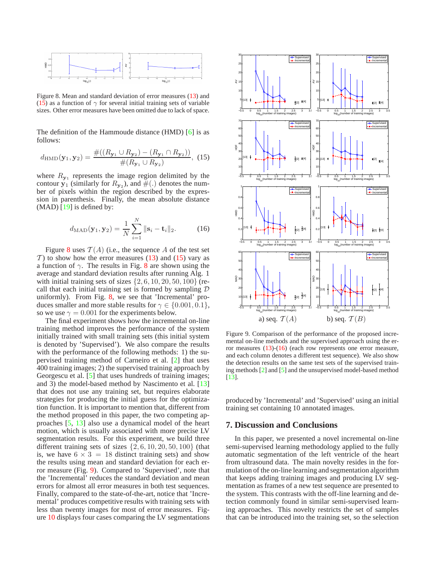<span id="page-6-4"></span>

<span id="page-6-1"></span>Figure 8. Mean and standard deviation of error measures [\(13\)](#page-5-2) and [\(15\)](#page-6-0) as a function of  $\gamma$  for several initial training sets of variable sizes. Other error measures have been omitted due to lack of space.

<span id="page-6-0"></span>The definition of the Hammoude distance (HMD) [\[6\]](#page-7-18) is as follows:

$$
d_{\rm HMD}(\mathbf{y}_1, \mathbf{y}_2) = \frac{\#((R_{\mathbf{y}_1} \cup R_{\mathbf{y}_2}) - (R_{\mathbf{y}_1} \cap R_{\mathbf{y}_2}))}{\#(R_{\mathbf{y}_1} \cup R_{\mathbf{y}_2})}, (15)
$$

where  $R_{y_1}$  represents the image region delimited by the contour  $y_1$  (similarly for  $R_{y_2}$ ), and  $\#(.)$  denotes the number of pixels within the region described by the expression in parenthesis. Finally, the mean absolute distance  $(MAD)$  [\[19\]](#page-7-19) is defined by:

$$
d_{\text{MAD}}(\mathbf{y}_1, \mathbf{y}_2) = \frac{1}{N} \sum_{i=1}^{N} ||\mathbf{s}_i - \mathbf{t}_i||_2.
$$
 (16)

<span id="page-6-3"></span>Figure [8](#page-6-1) uses  $T(A)$  (i.e., the sequence A of the test set T) to show how the error measures  $(13)$  and  $(15)$  vary as a function of  $\gamma$ . The results in Fig. [8](#page-6-1) are shown using the average and standard deviation results after running Alg. 1 with initial training sets of sizes  $\{2, 6, 10, 20, 50, 100\}$  (recall that each initial training set is formed by sampling  $D$ uniformly). From Fig. [8,](#page-6-1) we see that 'Incremental' produces smaller and more stable results for  $\gamma \in \{0.001, 0.1\},\$ so we use  $\gamma = 0.001$  for the experiments below.

The final experiment shows how the incremental on-line training method improves the performance of the system initially trained with small training sets (this initial system is denoted by 'Supervised'). We also compare the results with the performance of the following methods: 1) the supervised training method of Carneiro et al. [\[2\]](#page-7-1) that uses 400 training images; 2) the supervised training approach by Georgescu et al. [\[5\]](#page-7-3) that uses hundreds of training images; and 3) the model-based method by Nascimento et al. [\[13\]](#page-7-13) that does not use any training set, but requires elaborate strategies for producing the initial guess for the optimization function. It is important to mention that, different from the method proposed in this paper, the two competing approaches [\[5,](#page-7-3) [13\]](#page-7-13) also use a dynamical model of the heart motion, which is usually associated with more precise LV segmentation results. For this experiment, we build three different training sets of sizes  $\{2, 6, 10, 20, 50, 100\}$  (that is, we have  $6 \times 3 = 18$  distinct training sets) and show the results using mean and standard deviation for each error measure (Fig. [9\)](#page-6-2). Compared to 'Supervised', note that the 'Incremental' reduces the standard deviation and mean errors for almost all error measures in both test sequences. Finally, compared to the state-of-the-art, notice that 'Incremental' produces competitive results with training sets with less than twenty images for most of error measures. Figure [10](#page-7-20) displays four cases comparing the LV segmentations



<span id="page-6-2"></span>Figure 9. Comparison of the performance of the proposed incremental on-line methods and the supervised approach using the error measures [\(13\)](#page-5-2)-[\(16\)](#page-6-3) (each row represents one error measure, and each column denotes a different test sequence). We also show the detection results on the same test sets of the supervised training methods [\[2\]](#page-7-1) and [\[5\]](#page-7-3) and the unsupervised model-based method [\[13\]](#page-7-13).

produced by 'Incremental' and 'Supervised' using an initial training set containing 10 annotated images.

#### **7. Discussion and Conclusions**

In this paper, we presented a novel incremental on-line semi-supervised learning methodology applied to the fully automatic segmentation of the left ventricle of the heart from ultrasound data. The main novelty resides in the formulation of the on-line learning and segmentation algorithm that keeps adding training images and producing LV segmentation as frames of a new test sequence are presented to the system. This contrasts with the off-line learning and detection commonly found in similar semi-supervised learning approaches. This novelty restricts the set of samples that can be introduced into the training set, so the selection